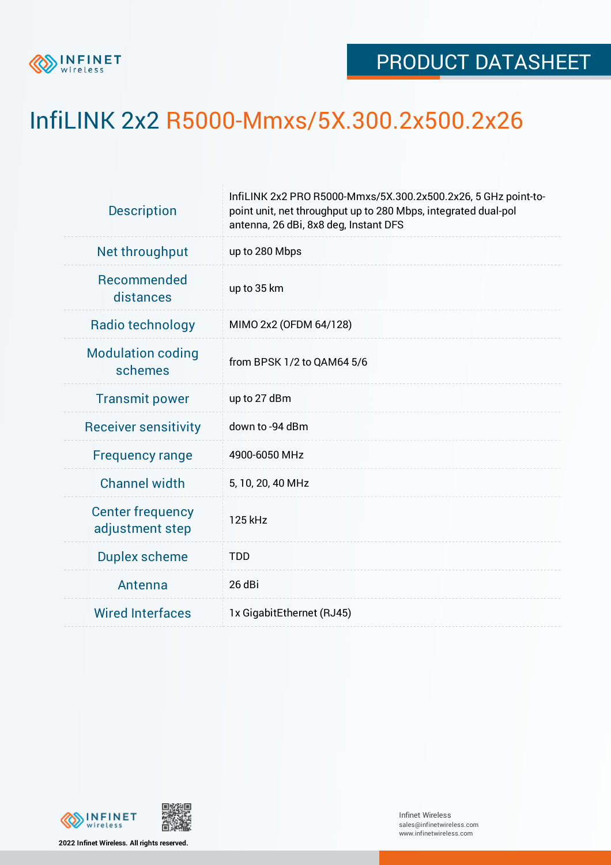

## InfiLINK 2x2 R5000-Mmxs/5X.300.2x500.2x26

| <b>Description</b>                         | InfiLINK 2x2 PRO R5000-Mmxs/5X.300.2x500.2x26, 5 GHz point-to-<br>point unit, net throughput up to 280 Mbps, integrated dual-pol<br>antenna, 26 dBi, 8x8 deg, Instant DFS |  |  |  |  |
|--------------------------------------------|---------------------------------------------------------------------------------------------------------------------------------------------------------------------------|--|--|--|--|
| Net throughput                             | up to 280 Mbps                                                                                                                                                            |  |  |  |  |
| Recommended<br>distances                   | up to 35 km                                                                                                                                                               |  |  |  |  |
| Radio technology                           | MIMO 2x2 (OFDM 64/128)                                                                                                                                                    |  |  |  |  |
| <b>Modulation coding</b><br>schemes        | from BPSK 1/2 to QAM64 5/6                                                                                                                                                |  |  |  |  |
| <b>Transmit power</b>                      | up to 27 dBm                                                                                                                                                              |  |  |  |  |
| <b>Receiver sensitivity</b>                | down to -94 dBm                                                                                                                                                           |  |  |  |  |
| <b>Frequency range</b>                     | 4900-6050 MHz                                                                                                                                                             |  |  |  |  |
| <b>Channel width</b>                       | 5, 10, 20, 40 MHz                                                                                                                                                         |  |  |  |  |
| <b>Center frequency</b><br>adjustment step | 125 kHz                                                                                                                                                                   |  |  |  |  |
| <b>Duplex scheme</b>                       | <b>TDD</b>                                                                                                                                                                |  |  |  |  |
| Antenna                                    | 26 dBi                                                                                                                                                                    |  |  |  |  |
| <b>Wired Interfaces</b>                    | 1x GigabitEthernet (RJ45)                                                                                                                                                 |  |  |  |  |



**2022 Infinet Wireless. All rights reserved.**

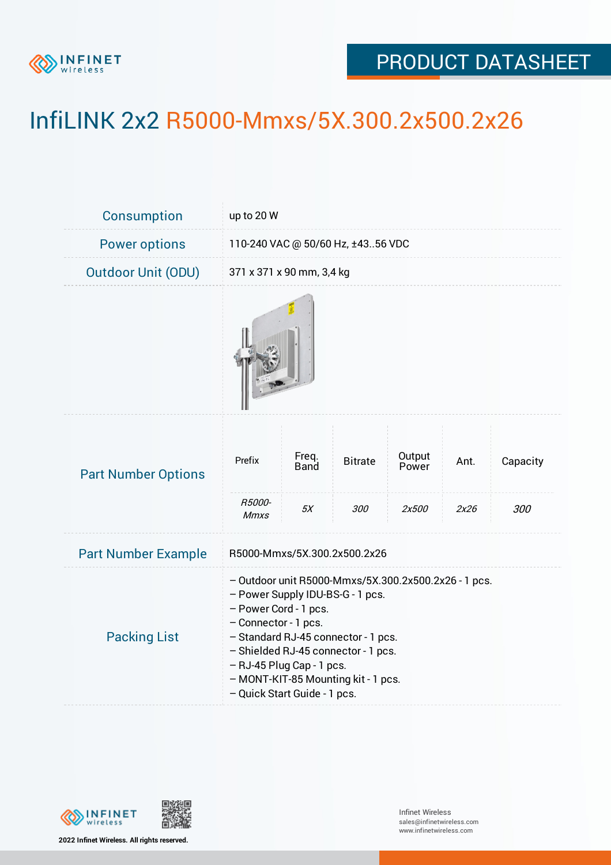

## PRODUCT DATASHEET

## InfiLINK 2x2 R5000-Mmxs/5X.300.2x500.2x26

| <b>Consumption</b>         | up to 20 W                                                                                                                                                                                                                                                                                                                  |                              |                       |                          |              |                 |  |  |
|----------------------------|-----------------------------------------------------------------------------------------------------------------------------------------------------------------------------------------------------------------------------------------------------------------------------------------------------------------------------|------------------------------|-----------------------|--------------------------|--------------|-----------------|--|--|
| <b>Power options</b>       | 110-240 VAC @ 50/60 Hz, ±4356 VDC                                                                                                                                                                                                                                                                                           |                              |                       |                          |              |                 |  |  |
| <b>Outdoor Unit (ODU)</b>  | 371 x 371 x 90 mm, 3,4 kg                                                                                                                                                                                                                                                                                                   |                              |                       |                          |              |                 |  |  |
|                            |                                                                                                                                                                                                                                                                                                                             |                              |                       |                          |              |                 |  |  |
| <b>Part Number Options</b> | Prefix<br>R5000-<br><b>Mmxs</b>                                                                                                                                                                                                                                                                                             | Freq.<br><b>Band</b><br>$5X$ | <b>Bitrate</b><br>300 | Output<br>Power<br>2x500 | Ant.<br>2x26 | Capacity<br>300 |  |  |
| <b>Part Number Example</b> | R5000-Mmxs/5X.300.2x500.2x26                                                                                                                                                                                                                                                                                                |                              |                       |                          |              |                 |  |  |
| <b>Packing List</b>        | - Outdoor unit R5000-Mmxs/5X.300.2x500.2x26 - 1 pcs.<br>- Power Supply IDU-BS-G - 1 pcs.<br>- Power Cord - 1 pcs.<br>- Connector - 1 pcs.<br>- Standard RJ-45 connector - 1 pcs.<br>- Shielded RJ-45 connector - 1 pcs.<br>- RJ-45 Plug Cap - 1 pcs.<br>- MONT-KIT-85 Mounting kit - 1 pcs.<br>- Quick Start Guide - 1 pcs. |                              |                       |                          |              |                 |  |  |



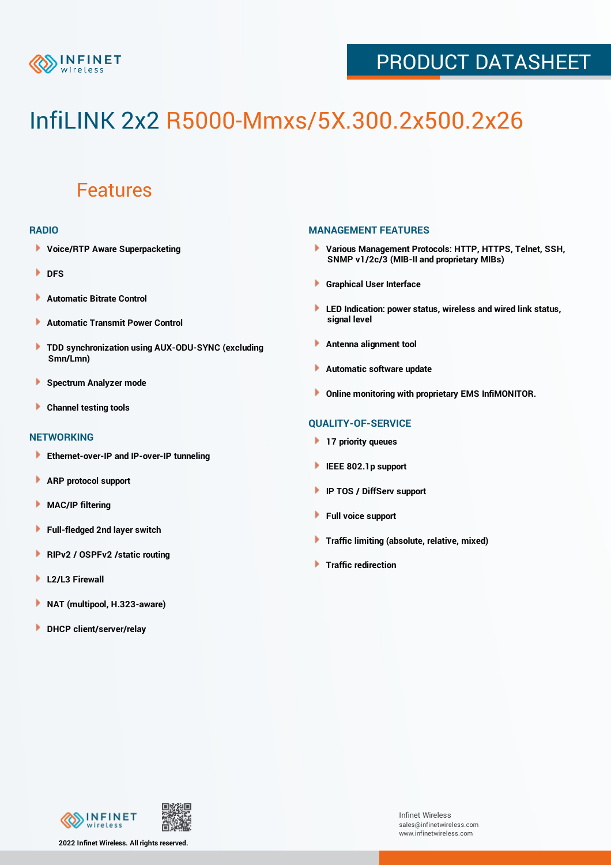

## PRODUCT DATASHEET

# InfiLINK 2x2 R5000-Mmxs/5X.300.2x500.2x26

### Features

#### **RADIO**

- **Voice/RTP Aware Superpacketing**
- ٠ **DFS**
- **Automatic Bitrate Control** Þ
- Þ **Automatic Transmit Power Control**
- ь **TDD synchronization using AUX-ODU-SYNC (excluding Smn/Lmn)**
- **Spectrum Analyzer mode** ۰
- **Channel testing tools** ١

#### **NETWORKING**

- **Ethernet-over-IP and IP-over-IP tunneling**
- **ARP protocol support** ٠
- ۱ **MAC/IP filtering**
- Þ **Full-fledged 2nd layer switch**
- Þ **RIPv2 / OSPFv2 /static routing**
- **L2/L3 Firewall** Þ
- **NAT (multipool, H.323-aware)** Þ
- Þ **DHCP client/server/relay**

#### **MANAGEMENT FEATURES**

- **Various Management Protocols: HTTP, HTTPS, Telnet, SSH, SNMP v1/2c/3 (MIB-II and proprietary MIBs)**
- **Graphical User Interface**
- **LED Indication: power status, wireless and wired link status, signal level**
- **Antenna alignment tool**
- ٠ **Automatic software update**
- **Online monitoring with proprietary EMS InfiMONITOR.**

#### **QUALITY-OF-SERVICE**

- **17 priority queues**
- **IEEE 802.1p support**
- **IP TOS / DiffServ support**
- ٠ **Full voice support**
- **Traffic limiting (absolute, relative, mixed)** ٠
- **Traffic redirection**